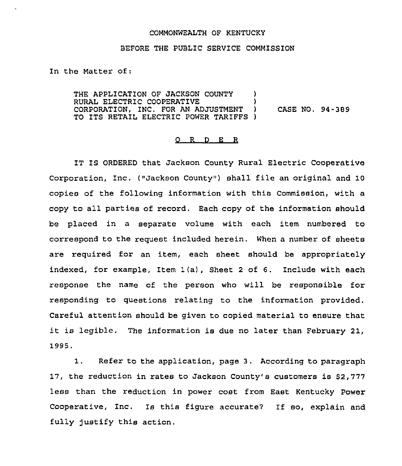## COMMONWEALTH OF KENTUCKY

## BEFORE THE PUBLIC SERVICE COMMISSION

In the Matter of:

THE APPLICATION OF JACKSON COUNTY ) RURAL ELECTRIC COOPERATIVE (2009)<br>CORPORATION, INC. FOR AN ADJUSTMENT (2009) CORPORATION, INC. FOR AN ADJUSTMENT ) CASE NO. 94-389 TO ITS RETAIL ELECTRIC POWER TARIFFS )

## 0 R <sup>D</sup> E R

IT IS ORDERED that Jackson County Rural Electric Cooperative Corporation, Inc. ("Jackson County") shall file an original and 10 copies of the following information with this Commission, with a copy to all parties of record. Each copy of the information should be placed in a separate volume with each item numbered to correspond to the request included herein. When a number of sheets are required for an item, each sheet should be appropriately indexed, for example, Item 1(a), Sheet <sup>2</sup> of 6. Include with each response the name of the person who will be responsible for responding to questions relating to the information provided. Careful attention should be given to copied material to ensure that it is legible. The information is due no later than February 21, 1995.

1. Refer to the application, page 3. According to paragraph 17, the reduction in rates to Jackson County's customers is \$2,777 less than the reduction in power cost from East Kentucky Power Cooperative, Inc. Is this figure accurate7 If so, explain and fully justify this action.